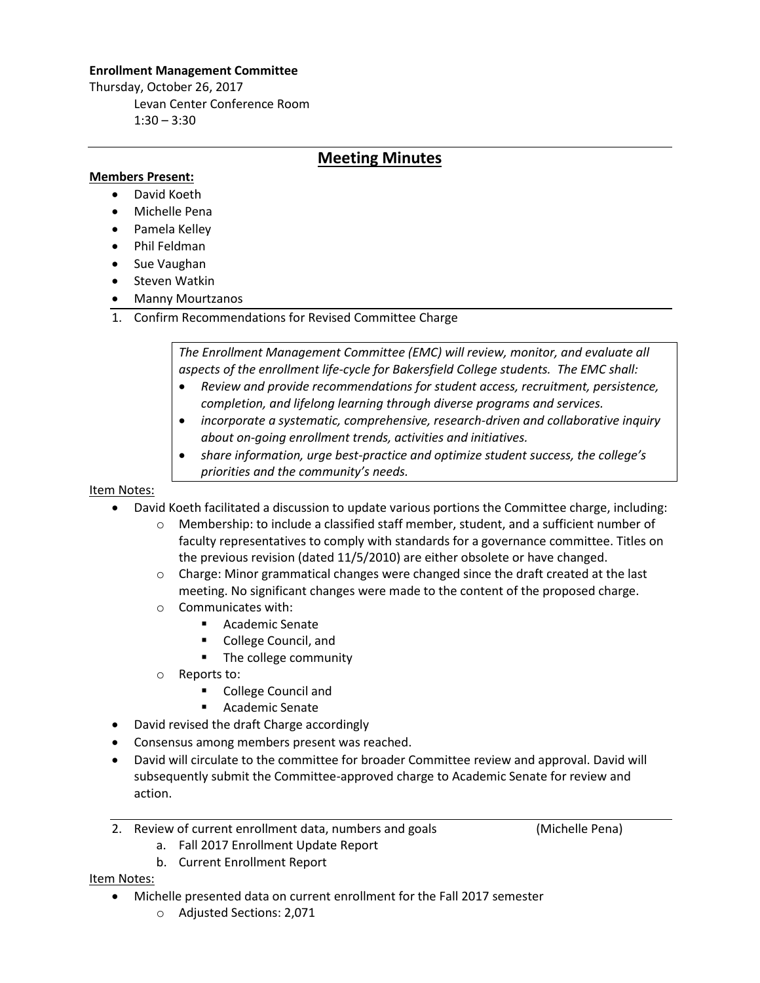## **Enrollment Management Committee**

Thursday, October 26, 2017 Levan Center Conference Room  $1:30 - 3:30$ 

## **Meeting Minutes**

## **Members Present:**

- David Koeth
- Michelle Pena
- Pamela Kelley
- Phil Feldman
- Sue Vaughan
- Steven Watkin
- Manny Mourtzanos
- 1. Confirm Recommendations for Revised Committee Charge

*The Enrollment Management Committee (EMC) will review, monitor, and evaluate all aspects of the enrollment life-cycle for Bakersfield College students. The EMC shall:* 

- *Review and provide recommendations for student access, recruitment, persistence, completion, and lifelong learning through diverse programs and services.*
- *incorporate a systematic, comprehensive, research-driven and collaborative inquiry about on-going enrollment trends, activities and initiatives.*
- *share information, urge best-practice and optimize student success, the college's priorities and the community's needs.*

Item Notes:

- David Koeth facilitated a discussion to update various portions the Committee charge, including:
	- o Membership: to include a classified staff member, student, and a sufficient number of faculty representatives to comply with standards for a governance committee. Titles on the previous revision (dated 11/5/2010) are either obsolete or have changed.
	- $\circ$  Charge: Minor grammatical changes were changed since the draft created at the last meeting. No significant changes were made to the content of the proposed charge.
	- o Communicates with:
		- **Academic Senate**
		- **College Council, and**
		- The college community
	- o Reports to:
		- **E** College Council and
		- **E** Academic Senate
- David revised the draft Charge accordingly
- Consensus among members present was reached.
- David will circulate to the committee for broader Committee review and approval. David will subsequently submit the Committee-approved charge to Academic Senate for review and action.
- 2. Review of current enrollment data, numbers and goals (Michelle Pena)

a. Fall 2017 Enrollment Update Report

b. Current Enrollment Report

Item Notes:

- Michelle presented data on current enrollment for the Fall 2017 semester
	- o Adjusted Sections: 2,071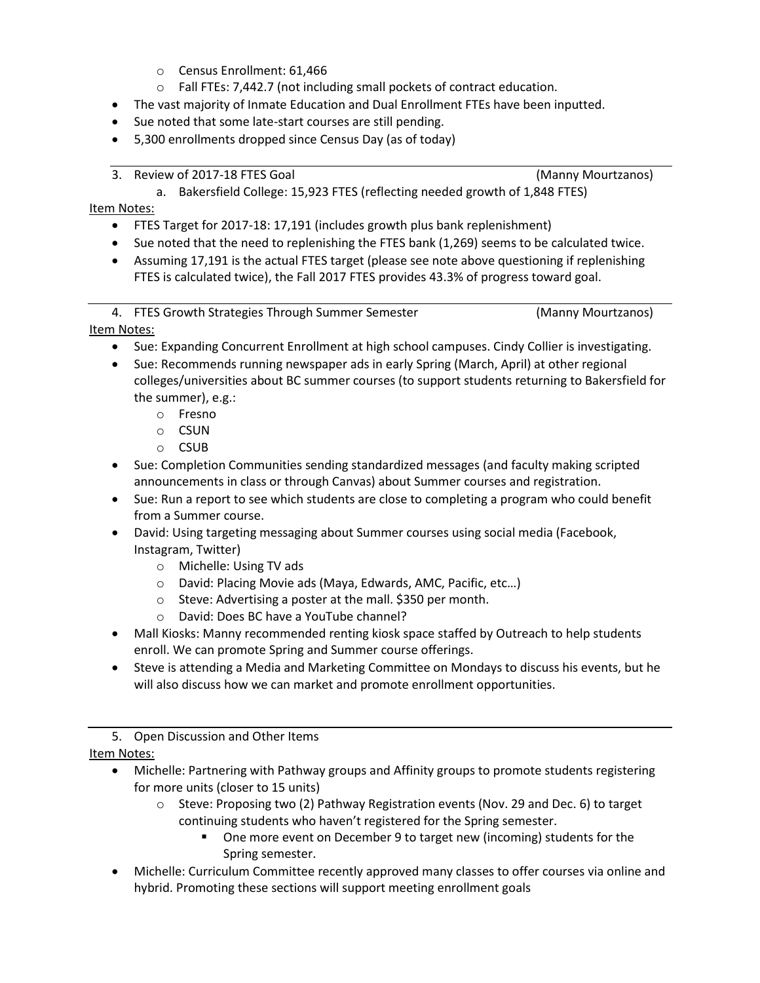- o Census Enrollment: 61,466
- o Fall FTEs: 7,442.7 (not including small pockets of contract education.
- The vast majority of Inmate Education and Dual Enrollment FTEs have been inputted.
- Sue noted that some late-start courses are still pending.
- 5,300 enrollments dropped since Census Day (as of today)
- 3. Review of 2017-18 FTES Goal (Manny Mourtzanos)

a. Bakersfield College: 15,923 FTES (reflecting needed growth of 1,848 FTES)

Item Notes:

- FTES Target for 2017-18: 17,191 (includes growth plus bank replenishment)
- Sue noted that the need to replenishing the FTES bank (1,269) seems to be calculated twice.
- Assuming 17,191 is the actual FTES target (please see note above questioning if replenishing FTES is calculated twice), the Fall 2017 FTES provides 43.3% of progress toward goal.

4. FTES Growth Strategies Through Summer Semester (Manny Mourtzanos)

Item Notes:

- Sue: Expanding Concurrent Enrollment at high school campuses. Cindy Collier is investigating.
- Sue: Recommends running newspaper ads in early Spring (March, April) at other regional colleges/universities about BC summer courses (to support students returning to Bakersfield for the summer), e.g.:
	- o Fresno
	- o CSUN
	- o CSUB
- Sue: Completion Communities sending standardized messages (and faculty making scripted announcements in class or through Canvas) about Summer courses and registration.
- Sue: Run a report to see which students are close to completing a program who could benefit from a Summer course.
- David: Using targeting messaging about Summer courses using social media (Facebook, Instagram, Twitter)
	- o Michelle: Using TV ads
	- o David: Placing Movie ads (Maya, Edwards, AMC, Pacific, etc…)
	- o Steve: Advertising a poster at the mall. \$350 per month.
	- o David: Does BC have a YouTube channel?
- Mall Kiosks: Manny recommended renting kiosk space staffed by Outreach to help students enroll. We can promote Spring and Summer course offerings.
- Steve is attending a Media and Marketing Committee on Mondays to discuss his events, but he will also discuss how we can market and promote enrollment opportunities.

5. Open Discussion and Other Items

Item Notes:

- Michelle: Partnering with Pathway groups and Affinity groups to promote students registering for more units (closer to 15 units)
	- $\circ$  Steve: Proposing two (2) Pathway Registration events (Nov. 29 and Dec. 6) to target continuing students who haven't registered for the Spring semester.
		- One more event on December 9 to target new (incoming) students for the Spring semester.
- Michelle: Curriculum Committee recently approved many classes to offer courses via online and hybrid. Promoting these sections will support meeting enrollment goals